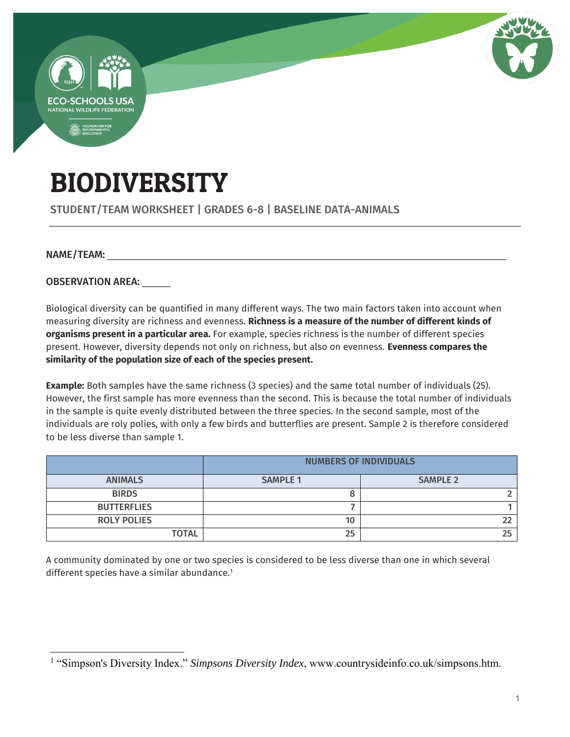

# BIODIVERSITY

STUDENT/TEAM WORKSHEET | GRADES 6-8 | BASELINE DATA-ANIMALS

#### NAME/TEAM:

 $\overline{a}$ 

OBSERVATION AREA:

Biological diversity can be quantified in many different ways. The two main factors taken into account when measuring diversity are richness and evenness. **Richness is a measure of the number of different kinds of organisms present in a particular area.** For example, species richness is the number of different species present. However, diversity depends not only on richness, but also on evenness. **Evenness compares the similarity of the population size of each of the species present.** 

**Example:** Both samples have the same richness (3 species) and the same total number of individuals (25). However, the first sample has more evenness than the second. This is because the total number of individuals in the sample is quite evenly distributed between the three species. In the second sample, most of the individuals are roly polies, with only a few birds and butterflies are present. Sample 2 is therefore considered to be less diverse than sample 1.

|                    | <b>NUMBERS OF INDIVIDUALS</b> |                 |  |
|--------------------|-------------------------------|-----------------|--|
| <b>ANIMALS</b>     | <b>SAMPLE 1</b>               | <b>SAMPLE 2</b> |  |
| <b>BIRDS</b>       |                               |                 |  |
| <b>BUTTERFLIES</b> |                               |                 |  |
| <b>ROLY POLIES</b> | 10                            |                 |  |
| <b>TOTAL</b>       | 25                            |                 |  |

A community dominated by one or two species is considered to be less diverse than one in which several different species have a similar abundance.<sup>1</sup>

<sup>&</sup>lt;sup>1</sup> "Simpson's Diversity Index." *Simpsons Diversity Index*, www.countrysideinfo.co.uk/simpsons.htm.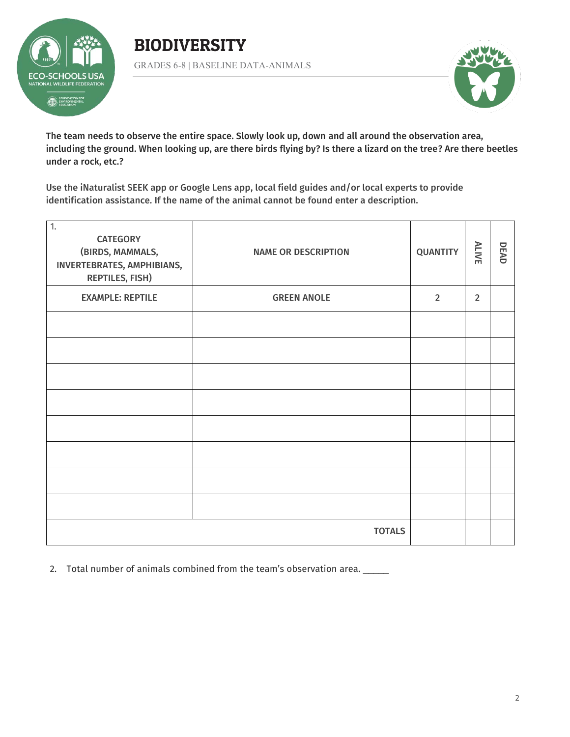

### BIODIVERSITY GRADES 6-8 | BASELINE DATA-ANIMALS



The team needs to observe the entire space. Slowly look up, down and all around the observation area, including the ground. When looking up, are there birds flying by? Is there a lizard on the tree? Are there beetles under a rock, etc.?

Use the iNaturalist SEEK app or Google Lens app, local field guides and/or local experts to provide identification assistance. If the name of the animal cannot be found enter a description.

| $\overline{1}$ .<br><b>CATEGORY</b><br>(BIRDS, MAMMALS,<br>INVERTEBRATES, AMPHIBIANS,<br><b>REPTILES, FISH)</b> | <b>NAME OR DESCRIPTION</b> | <b>QUANTITY</b> | <b>ALIVE</b>   | DEAD |
|-----------------------------------------------------------------------------------------------------------------|----------------------------|-----------------|----------------|------|
| <b>EXAMPLE: REPTILE</b>                                                                                         | <b>GREEN ANOLE</b>         | $\overline{2}$  | $\overline{2}$ |      |
|                                                                                                                 |                            |                 |                |      |
|                                                                                                                 |                            |                 |                |      |
|                                                                                                                 |                            |                 |                |      |
|                                                                                                                 |                            |                 |                |      |
|                                                                                                                 |                            |                 |                |      |
|                                                                                                                 |                            |                 |                |      |
|                                                                                                                 |                            |                 |                |      |
|                                                                                                                 |                            |                 |                |      |
| <b>TOTALS</b>                                                                                                   |                            |                 |                |      |

2. Total number of animals combined from the team's observation area. \_\_\_\_\_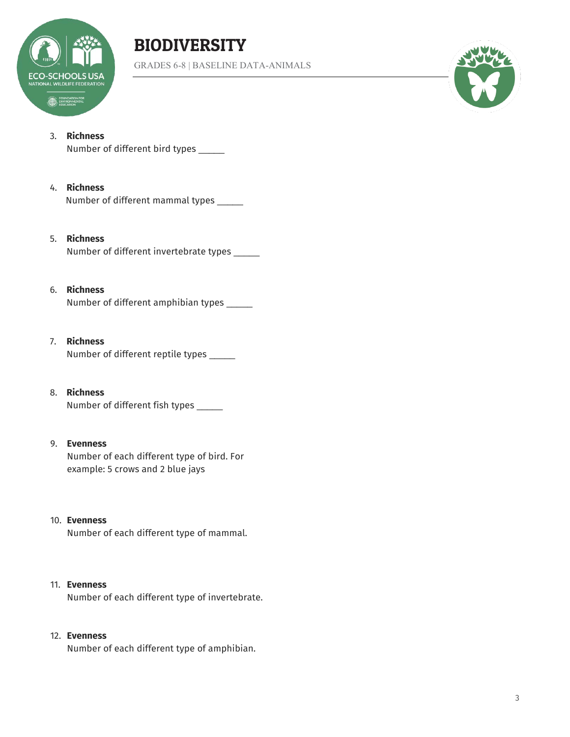

## BIODIVERSITY

GRADES 6-8 | BASELINE DATA-ANIMALS



#### 3. **Richness**

Number of different bird types \_\_\_\_\_

#### 4. **Richness**

Number of different mammal types \_\_\_\_\_

#### 5. **Richness**

Number of different invertebrate types \_\_\_\_\_

#### 6. **Richness**

Number of different amphibian types \_\_\_\_\_

#### 7. **Richness**

Number of different reptile types \_\_\_\_\_

8. **Richness** Number of different fish types \_\_\_\_\_

#### 9. **Evenness**

Number of each different type of bird. For example: 5 crows and 2 blue jays

#### 10. **Evenness**

Number of each different type of mammal.

#### 11. **Evenness**

Number of each different type of invertebrate.

#### 12. **Evenness**

Number of each different type of amphibian.